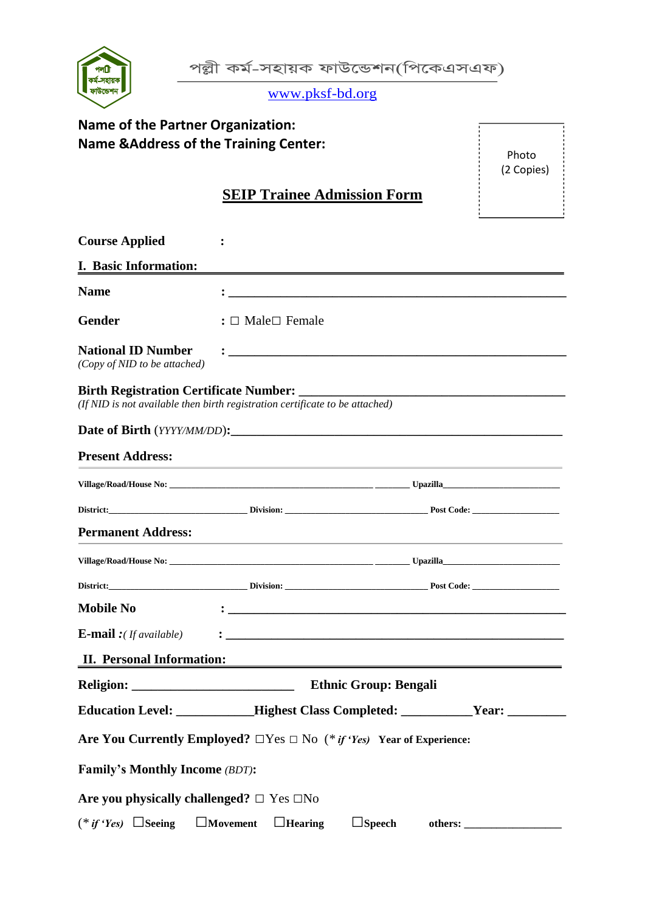

|  |  | পল্লী কৰ্ম-সহায়ক ফাউন্ডেশন(পিকেএসএফ) |
|--|--|---------------------------------------|
|--|--|---------------------------------------|

www.pksf-bd.org

| <b>Name of the Partner Organization:</b>                                                                                                                                                       |                                                    |                                                                                                                                                                                                                               |  |  |
|------------------------------------------------------------------------------------------------------------------------------------------------------------------------------------------------|----------------------------------------------------|-------------------------------------------------------------------------------------------------------------------------------------------------------------------------------------------------------------------------------|--|--|
| <b>Name &amp; Address of the Training Center:</b><br>Photo                                                                                                                                     |                                                    |                                                                                                                                                                                                                               |  |  |
|                                                                                                                                                                                                |                                                    | (2 Copies)                                                                                                                                                                                                                    |  |  |
|                                                                                                                                                                                                | <b>SEIP Trainee Admission Form</b>                 |                                                                                                                                                                                                                               |  |  |
|                                                                                                                                                                                                |                                                    |                                                                                                                                                                                                                               |  |  |
| <b>Course Applied</b>                                                                                                                                                                          |                                                    |                                                                                                                                                                                                                               |  |  |
| I. Basic Information:                                                                                                                                                                          |                                                    |                                                                                                                                                                                                                               |  |  |
| <b>Name</b>                                                                                                                                                                                    |                                                    |                                                                                                                                                                                                                               |  |  |
| <b>Gender</b>                                                                                                                                                                                  | : $\Box$ Male $\Box$ Female                        |                                                                                                                                                                                                                               |  |  |
| <b>National ID Number</b><br>(Copy of NID to be attached)                                                                                                                                      |                                                    |                                                                                                                                                                                                                               |  |  |
| <b>Birth Registration Certificate Number:</b><br><u> 1989 - Johann Barn, mars an t-Amerikaansk politiker (</u><br>(If NID is not available then birth registration certificate to be attached) |                                                    |                                                                                                                                                                                                                               |  |  |
|                                                                                                                                                                                                |                                                    |                                                                                                                                                                                                                               |  |  |
| <b>Present Address:</b>                                                                                                                                                                        |                                                    | <u> 1989 - Johann Stoff, deutscher Stoffen und der Stoffen und der Stoffen und der Stoffen und der Stoffen und der</u>                                                                                                        |  |  |
|                                                                                                                                                                                                |                                                    |                                                                                                                                                                                                                               |  |  |
|                                                                                                                                                                                                |                                                    |                                                                                                                                                                                                                               |  |  |
| <b>Permanent Address:</b>                                                                                                                                                                      |                                                    | the control of the control of the control of the control of the control of the control of the control of the control of the control of the control of the control of the control of the control of the control of the control |  |  |
|                                                                                                                                                                                                |                                                    |                                                                                                                                                                                                                               |  |  |
|                                                                                                                                                                                                |                                                    |                                                                                                                                                                                                                               |  |  |
| <b>Mobile No</b>                                                                                                                                                                               |                                                    |                                                                                                                                                                                                                               |  |  |
| <b>E-mail</b> : $If available)$                                                                                                                                                                |                                                    |                                                                                                                                                                                                                               |  |  |
| <b>II. Personal Information:</b>                                                                                                                                                               |                                                    | <u> 1989 - John Stein, Amerikaansk politiker († 1958)</u>                                                                                                                                                                     |  |  |
|                                                                                                                                                                                                |                                                    |                                                                                                                                                                                                                               |  |  |
|                                                                                                                                                                                                |                                                    | Education Level: ___________Highest Class Completed: _________Year: ___________                                                                                                                                               |  |  |
| Are You Currently Employed? $\Box$ Yes $\Box$ No (* <i>if 'Yes</i> ) Year of Experience:                                                                                                       |                                                    |                                                                                                                                                                                                                               |  |  |
| <b>Family's Monthly Income (BDT):</b>                                                                                                                                                          |                                                    |                                                                                                                                                                                                                               |  |  |
| Are you physically challenged? $\Box$ Yes $\Box$ No                                                                                                                                            |                                                    |                                                                                                                                                                                                                               |  |  |
| $(*$ if 'Yes) Seeing                                                                                                                                                                           | $\Box$ Movement<br>$\Box$ Speech<br>$\Box$ Hearing |                                                                                                                                                                                                                               |  |  |